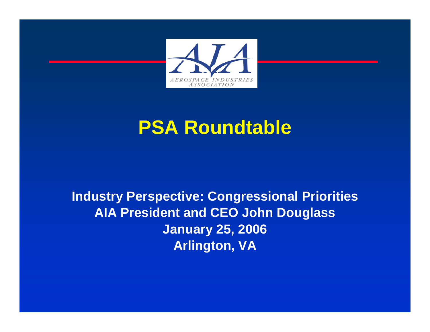

## **PSA Roundtable**

### **Industry Perspective: Congressional Priorities AIA President and CEO John Douglass January 25, 2006 Arlington, VA**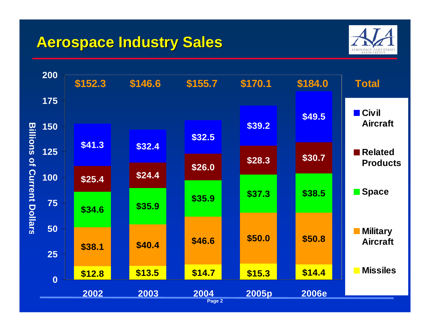### **Aerospace Industry Sales Aerospace Industry Sales**



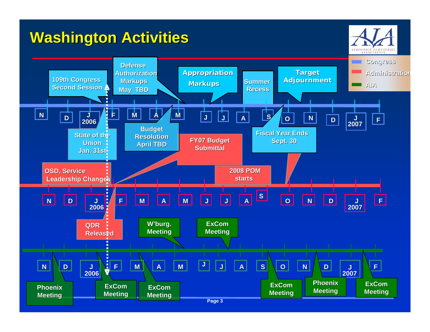### **Washington Activities**

ASSOCIATION **Congress DefenseAppropriation Target Target Administr dministrationAuthorization109th Congress Adjournment urnment Markups Summer MarkupsAIASecond SessionRecessMay TBD N J <sup>D</sup> <sup>F</sup> <sup>M</sup> <sup>A</sup> <sup>M</sup> <sup>J</sup> <sup>J</sup> <sup>A</sup> <sup>S</sup> <sup>O</sup> <sup>N</sup> <sup>D</sup> <sup>J</sup> <sup>2007</sup>** $\begin{array}{|c|c|c|}\n\hline\n2007 & \hline\n\end{array}$ **2006Budget Fiscal Year EndsState of the Resoluti ResolutionFY07 Budget Sept. 30 Union April TBD Submittal SubmittalJan. 31st Jan. 31st2008 POMOSD, Service Leadership Changes startsF**  $\overline{J}$   $\overline{J}$   $\overline{J}$   $\overline{K}$ **S OF A M J J A N J D N D J 20062007 W'burg. ExComQDRMeeting Meeting Released <sup>A</sup> <sup>M</sup> <sup>J</sup> <sup>J</sup> <sup>A</sup> <sup>S</sup> <sup>O</sup> <sup>N</sup> <sup>D</sup> <sup>J</sup>NF J D F M2006 2007PhoenixExComExComExComPhoenixExComMeeting Meeting Meeting Meeting Meeting Meeting**

AEROSPACE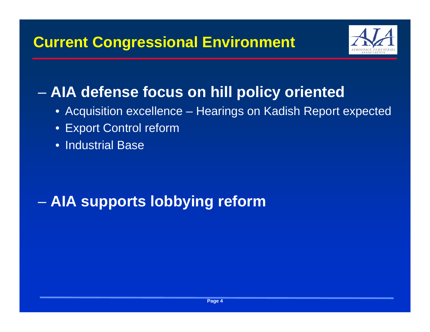

#### en al control de la control de **AIA defense focus on hill policy oriented**

- Acquisition excellence Hearings on Kadish Report expected
- Export Control reform
- Industrial Base

#### en al control de la control de **AIA supports lobbying reform**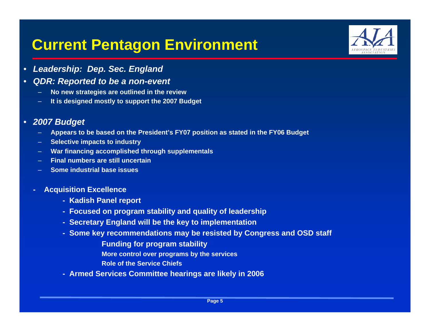### **Current Pentagon Environment**



- •*Leadership: Dep. Sec. England*
- • *QDR: Reported to be a non-event*
	- –**No new strategies are outlined in the review**
	- **It is designed mostly to support the 2007 Budget**

#### • *2007 Budget*

- **Appears to be based on the President's FY07 position as stated in the FY06 Budget**
- **Selective impacts to industry**
- **War financing accomplished through supplementals**
- **Final numbers are still uncertain**
- **Some industrial base issues**
- **- Acquisition Excellence**
	- **- Kadish Panel report**
	- **- Focused on program stability and quality of leadership**
	- **- Secretary England will be the key to implementation**
	- **- Some key recommendations may be resisted by Congress and OSD staff**

**Funding for program stability**

**More control over programs by the services**

**Role of the Service Chiefs** 

**- Armed Services Committee hearings are likely in 2006**